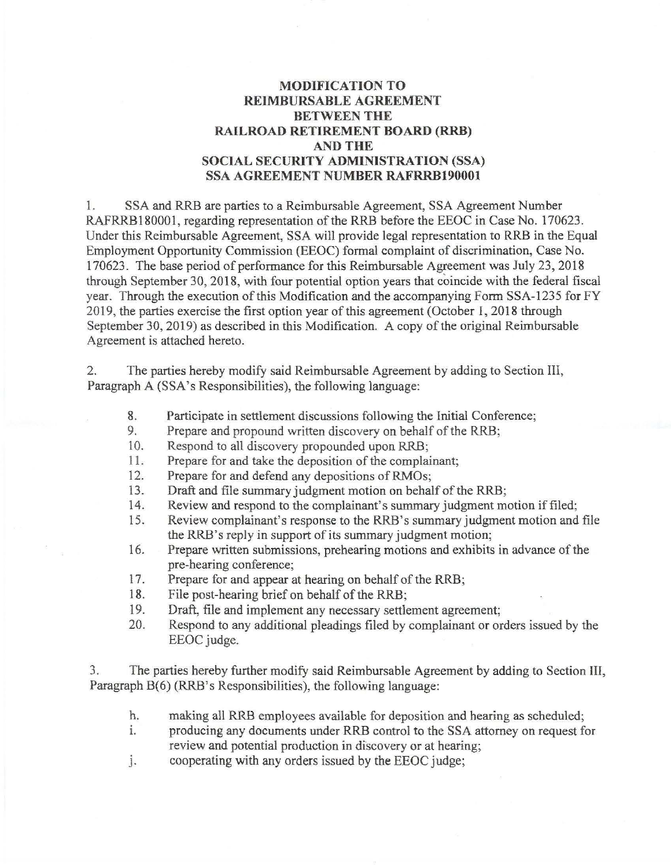## **MODIFICATION TO REIMBURSABLE AGREEMENT BETWEEN THE RAILROAD RETIREMENT BOARD (RRB) AND THE SOCIAL SECURITY ADMINISTRATION (SSA) SSA AGREEMENT NUMBER RAFRRB190001**

1. SSA and RRB are parties to a Reimbursable Agreement, SSA Agreement Number RAFRRB180001, regarding representation of the RRB before the EEOC in Case No. 170623. Under this Reimbursable Agreement, SSA will provide legal representation to RRB in the Equal Employment Opportunity Commission (EEOC) formal complaint of discrimination, Case No. 170623. The base period of performance for this Reimbursable Agreement was July 23, 2018 through September 30, 2018, with four potential option years that coincide with the federal fiscal year. Through the execution of this Modification and the accompanying Form SSA-1235 for FY 2019, the parties exercise the first option year of this agreement (October 1, 2018 through September 30, 2019) as described in this Modification. A copy of the original Reimbursable Agreement is attached hereto.

2. The parties hereby modify said Reimbursable Agreement by adding to Section Ill, Paragraph A (SSA's Responsibilities), the following language:

- 8. Participate in settlement discussions following the Initial Conference;
- 9. Prepare and propound written discovery on behalf of the RRB;
- 10. Respond to all discovery propounded upon RRB;
- 11. Prepare for and take the deposition of the complainant;
- 12. Prepare for and defend any depositions of RMOs;<br>13. Draft and file summary judgment motion on behal
- Draft and file summary judgment motion on behalf of the RRB;
- 14. Review and respond to the complainant's summary judgment motion if filed;
- 15. Review complainant's response to the RRB's summary judgment motion and file the RRB's reply in support of its summary judgment motion;
- 16. Prepare written submissions, prehearing motions and exhibits in advance of the pre-hearing conference;
- 17. Prepare for and appear at hearing on behalf of the RRB;
- 18. File post-hearing brief on behalf of the RRB;
- 19. Draft, file and implement any necessary settlement agreement;
- 20. Respond to any additional pleadings filed by complainant or orders issued by the EEOC judge.

3. The parties hereby further modify said Reimbursable Agreement by adding to Section III, Paragraph B(6) (RRB's Responsibilities), the following language:

- h. making all RRB employees available for deposition and hearing as scheduled;
- 1. producing any documents under RRB control to the SSA attorney on request for review and potential production in discovery or at hearing;
- J. cooperating with any orders issued by the EEOC judge;